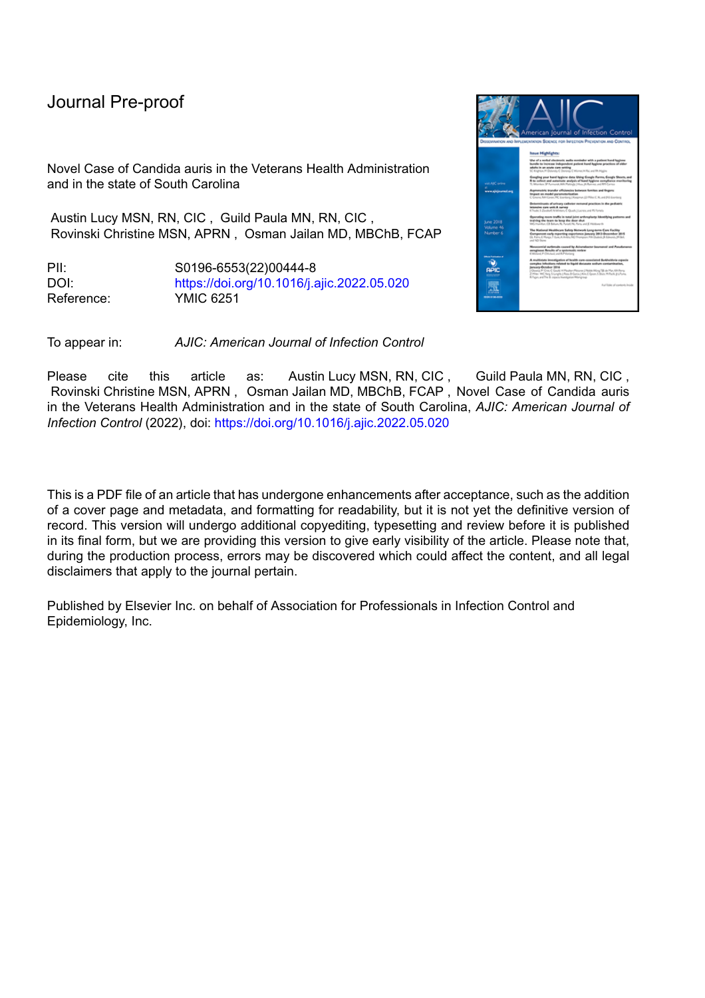Novel Case of Candida auris in the Veterans Health Administration and in the state of South Carolina

Austin Lucy MSN, RN, CIC , Guild Paula MN, RN, CIC , Rovinski Christine MSN, APRN , Osman Jailan MD, MBChB, FCAP

PII: S0196-6553(22)00444-8 DOI: <https://doi.org/10.1016/j.ajic.2022.05.020> Reference: YMIC 6251

To appear in: *AJIC: American Journal of Infection Control*

Please cite this article as: Austin Lucy MSN, RN, CIC, Guild Paula MN, RN, CIC, Rovinski Christine MSN, APRN , Osman Jailan MD, MBChB, FCAP , Novel Case of Candida auris in the Veterans Health Administration and in the state of South Carolina, *AJIC: American Journal of Infection Control* (2022), doi: <https://doi.org/10.1016/j.ajic.2022.05.020>

This is a PDF file of an article that has undergone enhancements after acceptance, such as the addition of a cover page and metadata, and formatting for readability, but it is not yet the definitive version of record. This version will undergo additional copyediting, typesetting and review before it is published in its final form, but we are providing this version to give early visibility of the article. Please note that, during the production process, errors may be discovered which could affect the content, and all legal disclaimers that apply to the journal pertain.

Published by Elsevier Inc. on behalf of Association for Professionals in Infection Control and Epidemiology, Inc.

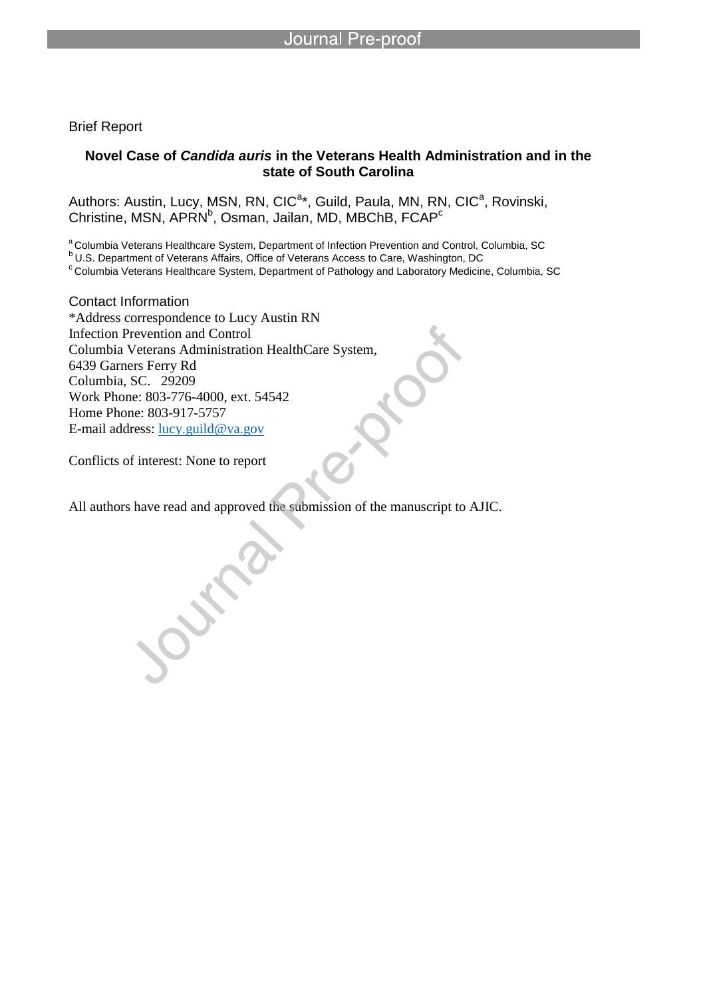Brief Report

## **Novel Case of** *Candida auris* **in the Veterans Health Administration and in the state of South Carolina**

Authors: Austin, Lucy, MSN, RN, CIC<sup>a\*</sup>, Guild, Paula, MN, RN, CIC<sup>a</sup>, Rovinski, Christine, MSN, APRN<sup>b</sup>, Osman, Jailan, MD, MBChB, FCAP<sup>c</sup>

<sup>a</sup> Columbia Veterans Healthcare System, Department of Infection Prevention and Control, Columbia, SC

bU.S. Department of Veterans Affairs, Office of Veterans Access to Care, Washington, DC

l

c Columbia Veterans Healthcare System, Department of Pathology and Laboratory Medicine, Columbia, SC

Contact Information \*Address correspondence to Lucy Austin RN Infection Prevention and Control Columbia Veterans Administration HealthCare System, 6439 Garners Ferry Rd Columbia, SC. 29209 Work Phone: 803-776-4000, ext. 54542 Home Phone: 803-917-5757 E-mail address: lucy.guild@va.gov

Conflicts of interest: None to report

All authors have read and approved the submission of the manuscript to AJIC.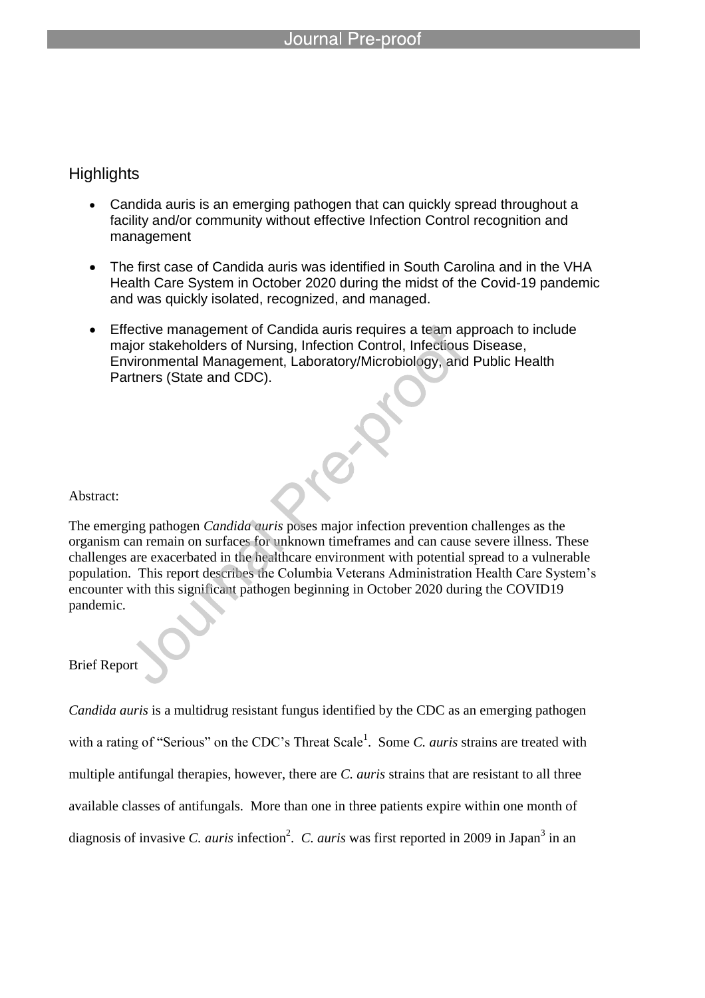l

## **Highlights**

- Candida auris is an emerging pathogen that can quickly spread throughout a facility and/or community without effective Infection Control recognition and management
- The first case of Candida auris was identified in South Carolina and in the VHA Health Care System in October 2020 during the midst of the Covid-19 pandemic and was quickly isolated, recognized, and managed.
- Effective management of Candida auris requires a team approach to include major stakeholders of Nursing, Infection Control, Infectious Disease, Environmental Management, Laboratory/Microbiology, and Public Health Partners (State and CDC).

## Abstract:

The emerging pathogen *Candida auris* poses major infection prevention challenges as the organism can remain on surfaces for unknown timeframes and can cause severe illness. These challenges are exacerbated in the healthcare environment with potential spread to a vulnerable population. This report describes the Columbia Veterans Administration Health Care System's encounter with this significant pathogen beginning in October 2020 during the COVID19 pandemic.

## Brief Report

*Candida auris* is a multidrug resistant fungus identified by the CDC as an emerging pathogen with a rating of "Serious" on the CDC's Threat Scale<sup>1</sup>. Some *C. auris* strains are treated with multiple antifungal therapies, however, there are *C. auris* strains that are resistant to all three available classes of antifungals. More than one in three patients expire within one month of diagnosis of invasive *C. auris* infection<sup>2</sup>. *C. auris* was first reported in 2009 in Japan<sup>3</sup> in an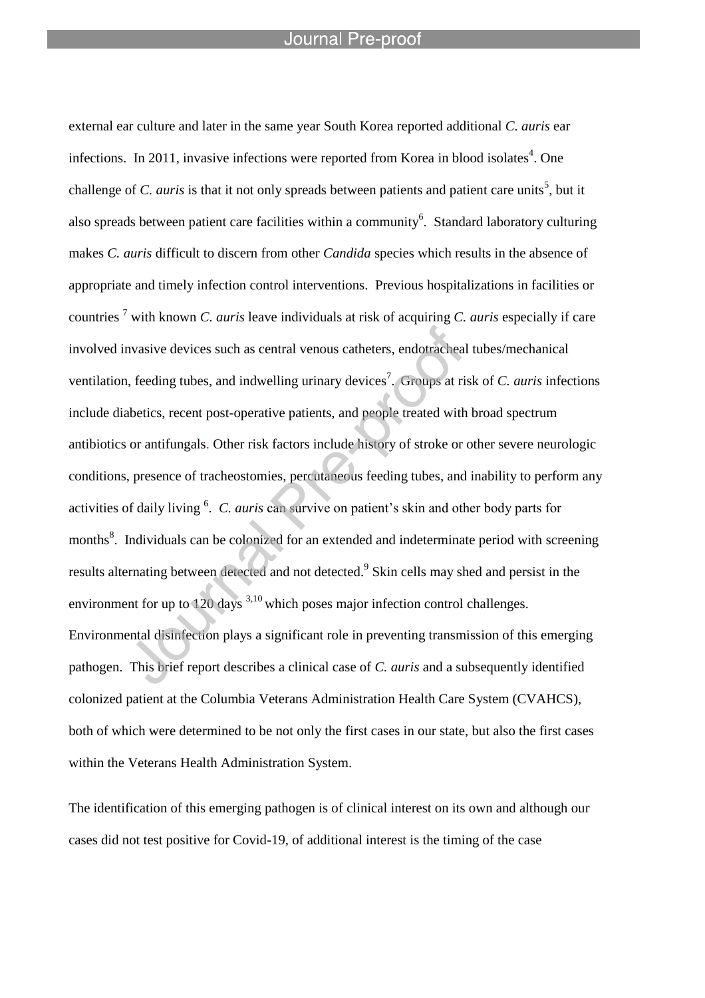l

external ear culture and later in the same year South Korea reported additional *C. auris* ear infections. In 2011, invasive infections were reported from Korea in blood isolates<sup>4</sup>. One challenge of *C. auris* is that it not only spreads between patients and patient care units<sup>5</sup>, but it also spreads between patient care facilities within a community<sup>6</sup>. Standard laboratory culturing makes *C. auris* difficult to discern from other *Candida* species which results in the absence of appropriate and timely infection control interventions. Previous hospitalizations in facilities or countries <sup>7</sup> with known *C. auris* leave individuals at risk of acquiring *C. auris* especially if care involved invasive devices such as central venous catheters, endotracheal tubes/mechanical ventilation, feeding tubes, and indwelling urinary devices<sup>7</sup>. Groups at risk of *C. auris* infections include diabetics, recent post-operative patients, and people treated with broad spectrum antibiotics or antifungals. Other risk factors include history of stroke or other severe neurologic conditions, presence of tracheostomies, percutaneous feeding tubes, and inability to perform any activities of daily living <sup>6</sup>. C. *auris* can survive on patient's skin and other body parts for months<sup>8</sup>. Individuals can be colonized for an extended and indeterminate period with screening results alternating between detected and not detected.<sup>9</sup> Skin cells may shed and persist in the environment for up to  $120 \text{ days}^{3,10}$  which poses major infection control challenges. Environmental disinfection plays a significant role in preventing transmission of this emerging pathogen. This brief report describes a clinical case of *C. auris* and a subsequently identified colonized patient at the Columbia Veterans Administration Health Care System (CVAHCS), both of which were determined to be not only the first cases in our state, but also the first cases within the Veterans Health Administration System.

The identification of this emerging pathogen is of clinical interest on its own and although our cases did not test positive for Covid-19, of additional interest is the timing of the case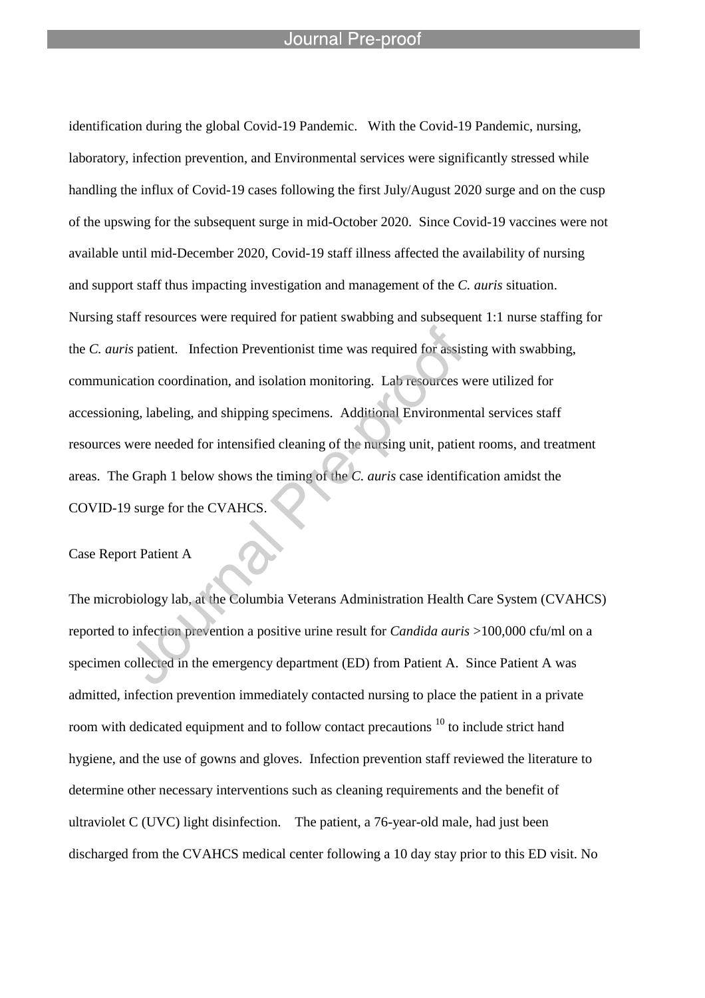l

identification during the global Covid-19 Pandemic. With the Covid-19 Pandemic, nursing, laboratory, infection prevention, and Environmental services were significantly stressed while handling the influx of Covid-19 cases following the first July/August 2020 surge and on the cusp of the upswing for the subsequent surge in mid-October 2020. Since Covid-19 vaccines were not available until mid-December 2020, Covid-19 staff illness affected the availability of nursing and support staff thus impacting investigation and management of the *C. auris* situation. Nursing staff resources were required for patient swabbing and subsequent 1:1 nurse staffing for the *C. auris* patient. Infection Preventionist time was required for assisting with swabbing, communication coordination, and isolation monitoring. Lab resources were utilized for accessioning, labeling, and shipping specimens. Additional Environmental services staff resources were needed for intensified cleaning of the nursing unit, patient rooms, and treatment areas. The Graph 1 below shows the timing of the *C. auris* case identification amidst the COVID-19 surge for the CVAHCS.

Case Report Patient A

The microbiology lab, at the Columbia Veterans Administration Health Care System (CVAHCS) reported to infection prevention a positive urine result for *Candida auris* >100,000 cfu/ml on a specimen collected in the emergency department (ED) from Patient A. Since Patient A was admitted, infection prevention immediately contacted nursing to place the patient in a private room with dedicated equipment and to follow contact precautions <sup>10</sup> to include strict hand hygiene, and the use of gowns and gloves. Infection prevention staff reviewed the literature to determine other necessary interventions such as cleaning requirements and the benefit of ultraviolet C (UVC) light disinfection. The patient, a 76-year-old male, had just been discharged from the CVAHCS medical center following a 10 day stay prior to this ED visit. No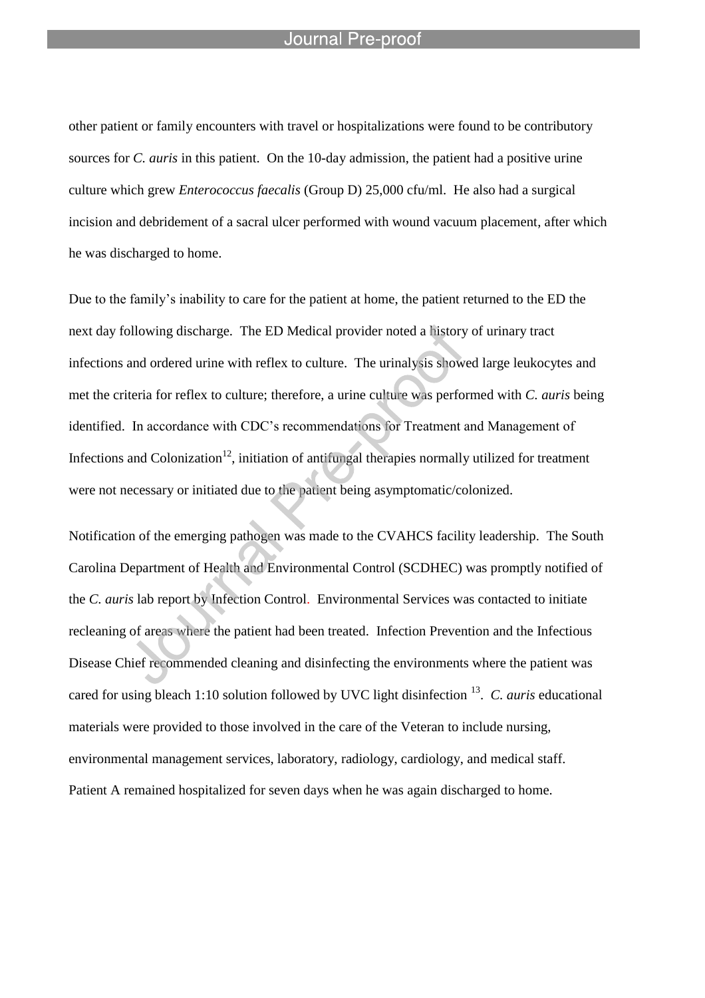l

other patient or family encounters with travel or hospitalizations were found to be contributory sources for *C. auris* in this patient. On the 10-day admission, the patient had a positive urine culture which grew *Enterococcus faecalis* (Group D) 25,000 cfu/ml. He also had a surgical incision and debridement of a sacral ulcer performed with wound vacuum placement, after which he was discharged to home.

Due to the family's inability to care for the patient at home, the patient returned to the ED the next day following discharge. The ED Medical provider noted a history of urinary tract infections and ordered urine with reflex to culture. The urinalysis showed large leukocytes and met the criteria for reflex to culture; therefore, a urine culture was performed with *C. auris* being identified. In accordance with CDC's recommendations for Treatment and Management of Infections and Colonization<sup>12</sup>, initiation of antifungal therapies normally utilized for treatment were not necessary or initiated due to the patient being asymptomatic/colonized.

Notification of the emerging pathogen was made to the CVAHCS facility leadership. The South Carolina Department of Health and Environmental Control (SCDHEC) was promptly notified of the *C. auris* lab report by Infection Control. Environmental Services was contacted to initiate recleaning of areas where the patient had been treated. Infection Prevention and the Infectious Disease Chief recommended cleaning and disinfecting the environments where the patient was cared for using bleach 1:10 solution followed by UVC light disinfection <sup>13</sup>. C. *auris* educational materials were provided to those involved in the care of the Veteran to include nursing, environmental management services, laboratory, radiology, cardiology, and medical staff. Patient A remained hospitalized for seven days when he was again discharged to home.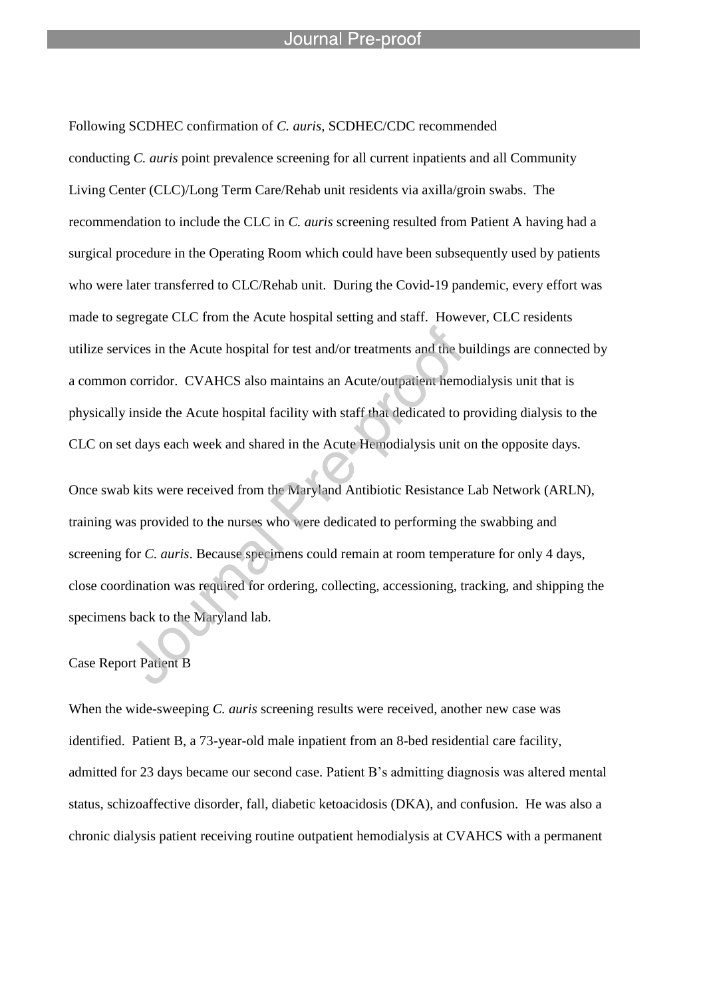l

Following SCDHEC confirmation of *C. auris,* SCDHEC/CDC recommended conducting *C. auris* point prevalence screening for all current inpatients and all Community Living Center (CLC)/Long Term Care/Rehab unit residents via axilla/groin swabs. The recommendation to include the CLC in *C. auris* screening resulted from Patient A having had a surgical procedure in the Operating Room which could have been subsequently used by patients who were later transferred to CLC/Rehab unit. During the Covid-19 pandemic, every effort was made to segregate CLC from the Acute hospital setting and staff. However, CLC residents utilize services in the Acute hospital for test and/or treatments and the buildings are connected by a common corridor. CVAHCS also maintains an Acute/outpatient hemodialysis unit that is physically inside the Acute hospital facility with staff that dedicated to providing dialysis to the CLC on set days each week and shared in the Acute Hemodialysis unit on the opposite days.

Once swab kits were received from the Maryland Antibiotic Resistance Lab Network (ARLN), training was provided to the nurses who were dedicated to performing the swabbing and screening for *C. auris*. Because specimens could remain at room temperature for only 4 days, close coordination was required for ordering, collecting, accessioning, tracking, and shipping the specimens back to the Maryland lab.

## Case Report Patient B

When the wide-sweeping *C. auris* screening results were received, another new case was identified. Patient B, a 73-year-old male inpatient from an 8-bed residential care facility, admitted for 23 days became our second case. Patient B's admitting diagnosis was altered mental status, schizoaffective disorder, fall, diabetic ketoacidosis (DKA), and confusion. He was also a chronic dialysis patient receiving routine outpatient hemodialysis at CVAHCS with a permanent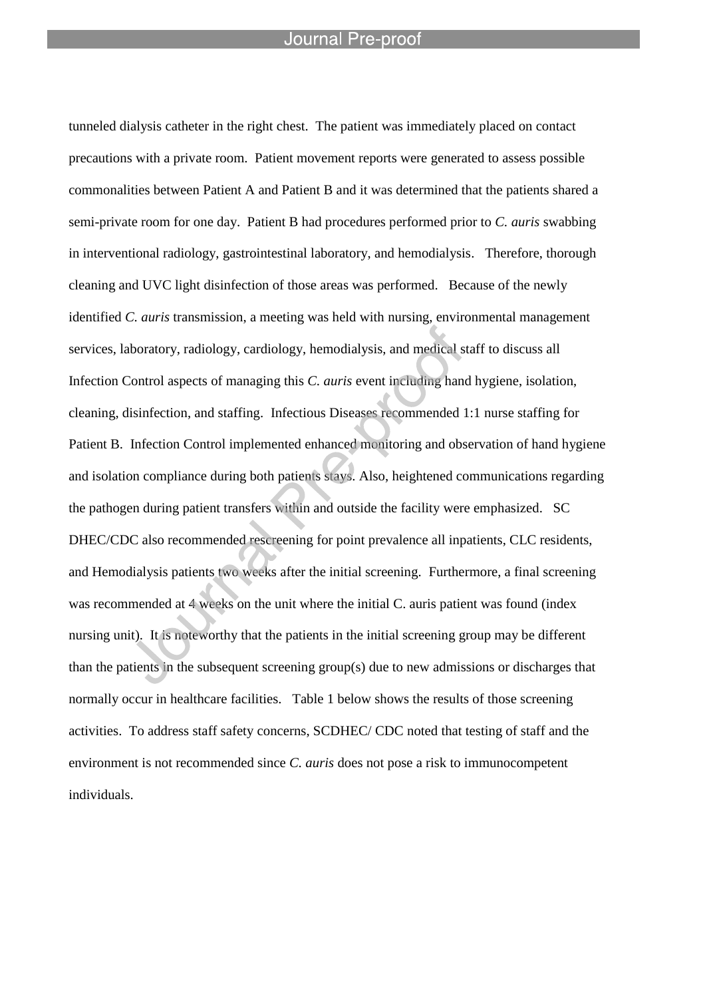l

tunneled dialysis catheter in the right chest. The patient was immediately placed on contact precautions with a private room. Patient movement reports were generated to assess possible commonalities between Patient A and Patient B and it was determined that the patients shared a semi-private room for one day. Patient B had procedures performed prior to *C. auris* swabbing in interventional radiology, gastrointestinal laboratory, and hemodialysis. Therefore, thorough cleaning and UVC light disinfection of those areas was performed. Because of the newly identified *C. auris* transmission, a meeting was held with nursing, environmental management services, laboratory, radiology, cardiology, hemodialysis, and medical staff to discuss all Infection Control aspects of managing this *C. auris* event including hand hygiene, isolation, cleaning, disinfection, and staffing. Infectious Diseases recommended 1:1 nurse staffing for Patient B. Infection Control implemented enhanced monitoring and observation of hand hygiene and isolation compliance during both patients stays. Also, heightened communications regarding the pathogen during patient transfers within and outside the facility were emphasized. SC DHEC/CDC also recommended rescreening for point prevalence all inpatients, CLC residents, and Hemodialysis patients two weeks after the initial screening. Furthermore, a final screening was recommended at 4 weeks on the unit where the initial C. auris patient was found (index nursing unit). It is noteworthy that the patients in the initial screening group may be different than the patients in the subsequent screening group(s) due to new admissions or discharges that normally occur in healthcare facilities. Table 1 below shows the results of those screening activities. To address staff safety concerns, SCDHEC/ CDC noted that testing of staff and the environment is not recommended since *C. auris* does not pose a risk to immunocompetent individuals.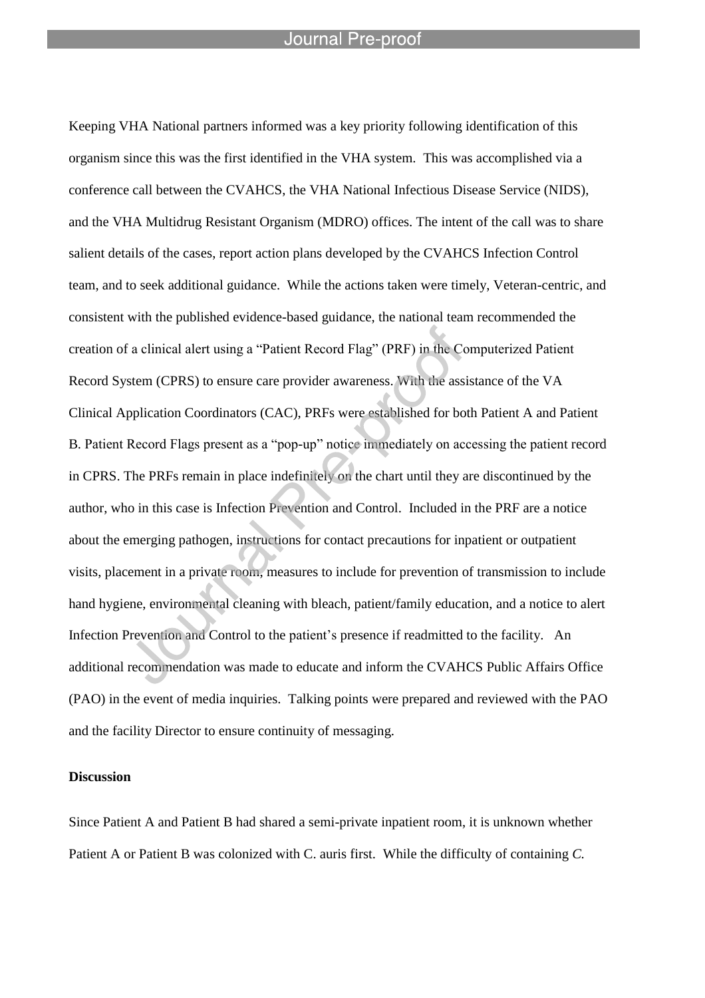l

Keeping VHA National partners informed was a key priority following identification of this organism since this was the first identified in the VHA system. This was accomplished via a conference call between the CVAHCS, the VHA National Infectious Disease Service (NIDS), and the VHA Multidrug Resistant Organism (MDRO) offices. The intent of the call was to share salient details of the cases, report action plans developed by the CVAHCS Infection Control team, and to seek additional guidance. While the actions taken were timely, Veteran-centric, and consistent with the published evidence-based guidance, the national team recommended the creation of a clinical alert using a "Patient Record Flag" (PRF) in the Computerized Patient Record System (CPRS) to ensure care provider awareness. With the assistance of the VA Clinical Application Coordinators (CAC), PRFs were established for both Patient A and Patient B. Patient Record Flags present as a "pop-up" notice immediately on accessing the patient record in CPRS. The PRFs remain in place indefinitely on the chart until they are discontinued by the author, who in this case is Infection Prevention and Control. Included in the PRF are a notice about the emerging pathogen, instructions for contact precautions for inpatient or outpatient visits, placement in a private room, measures to include for prevention of transmission to include hand hygiene, environmental cleaning with bleach, patient/family education, and a notice to alert Infection Prevention and Control to the patient's presence if readmitted to the facility. An additional recommendation was made to educate and inform the CVAHCS Public Affairs Office (PAO) in the event of media inquiries. Talking points were prepared and reviewed with the PAO and the facility Director to ensure continuity of messaging.

#### **Discussion**

Since Patient A and Patient B had shared a semi-private inpatient room, it is unknown whether Patient A or Patient B was colonized with C. auris first. While the difficulty of containing *C.*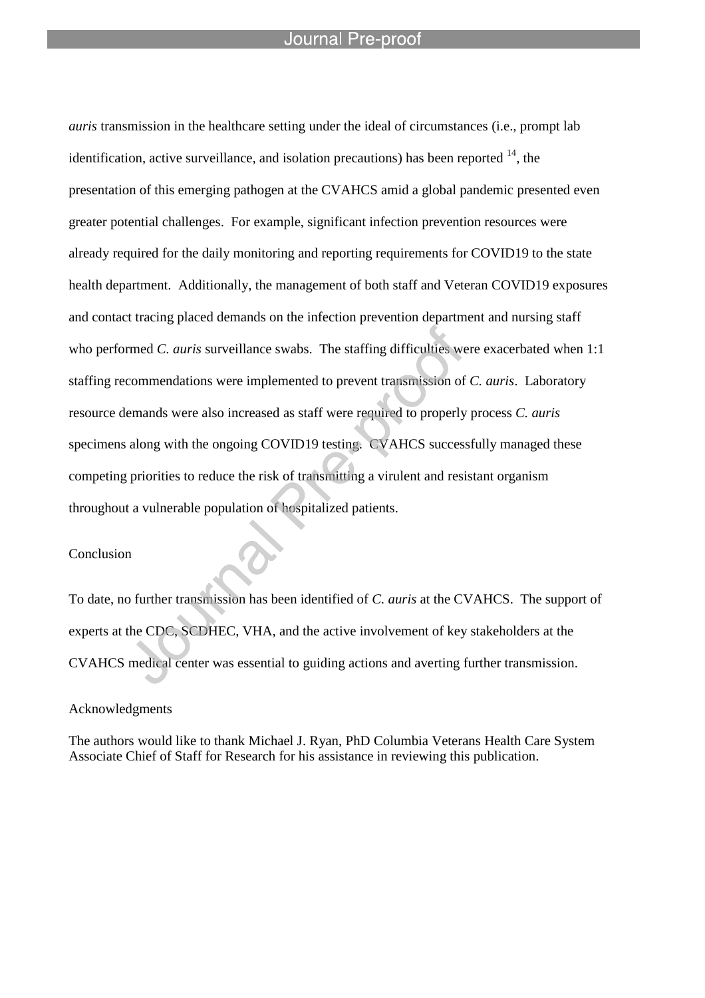l

*auris* transmission in the healthcare setting under the ideal of circumstances (i.e., prompt lab identification, active surveillance, and isolation precautions) has been reported  $14$ , the presentation of this emerging pathogen at the CVAHCS amid a global pandemic presented even greater potential challenges. For example, significant infection prevention resources were already required for the daily monitoring and reporting requirements for COVID19 to the state health department. Additionally, the management of both staff and Veteran COVID19 exposures and contact tracing placed demands on the infection prevention department and nursing staff who performed *C. auris* surveillance swabs. The staffing difficulties were exacerbated when 1:1 staffing recommendations were implemented to prevent transmission of *C. auris*. Laboratory resource demands were also increased as staff were required to properly process *C. auris* specimens along with the ongoing COVID19 testing. CVAHCS successfully managed these competing priorities to reduce the risk of transmitting a virulent and resistant organism throughout a vulnerable population of hospitalized patients.

#### Conclusion

To date, no further transmission has been identified of *C. auris* at the CVAHCS. The support of experts at the CDC, SCDHEC, VHA, and the active involvement of key stakeholders at the CVAHCS medical center was essential to guiding actions and averting further transmission.

#### Acknowledgments

The authors would like to thank Michael J. Ryan, PhD Columbia Veterans Health Care System Associate Chief of Staff for Research for his assistance in reviewing this publication.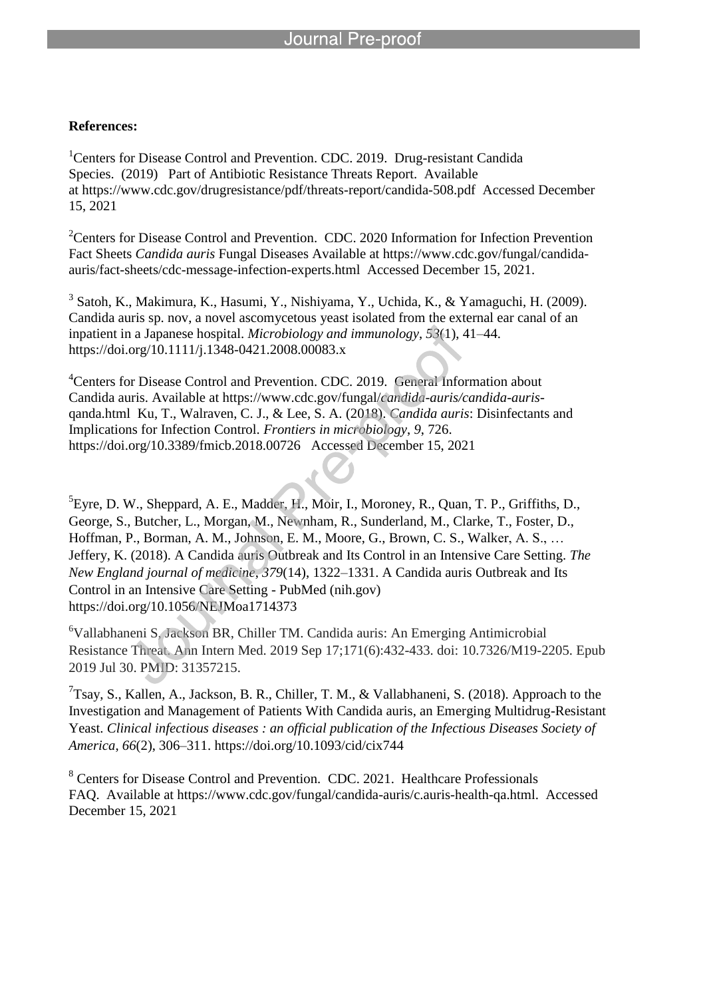l

### **References:**

<sup>1</sup> Centers for Disease Control and Prevention. CDC. 2019. Drug-resistant Candida Species. (2019) Part of Antibiotic Resistance Threats Report. Available at https://www.cdc.gov/drugresistance/pdf/threats-report/candida-508.pdf Accessed December 15, 2021

<sup>2</sup>Centers for Disease Control and Prevention. CDC. 2020 Information for Infection Prevention Fact Sheets *Candida auris* Fungal Diseases Available at https://www.cdc.gov/fungal/candidaauris/fact-sheets/cdc-message-infection-experts.html Accessed December 15, 2021.

3 Satoh, K., Makimura, K., Hasumi, Y., Nishiyama, Y., Uchida, K., & Yamaguchi, H. (2009). Candida auris sp. nov, a novel ascomycetous yeast isolated from the external ear canal of an inpatient in a Japanese hospital. *Microbiology and immunology*, *53*(1), 41–44. https://doi.org/10.1111/j.1348-0421.2008.00083.x

<sup>4</sup>Centers for Disease Control and Prevention. CDC. 2019. General Information about Candida auris. Available at https://www.cdc.gov/fungal/*candida-auris/candida-auris*qanda.html Ku, T., Walraven, C. J., & Lee, S. A. (2018). *Candida auris*: Disinfectants and Implications for Infection Control. *Frontiers in microbiology*, *9*, 726. https://doi.org/10.3389/fmicb.2018.00726 Accessed December 15, 2021

 ${}^{5}$ Eyre, D. W., Sheppard, A. E., Madder, H., Moir, I., Moroney, R., Quan, T. P., Griffiths, D., George, S., Butcher, L., Morgan, M., Newnham, R., Sunderland, M., Clarke, T., Foster, D., Hoffman, P., Borman, A. M., Johnson, E. M., Moore, G., Brown, C. S., Walker, A. S., … Jeffery, K. (2018). A Candida auris Outbreak and Its Control in an Intensive Care Setting. *The New England journal of medicine*, *379*(14), 1322–1331. A Candida auris Outbreak and Its Control in an Intensive Care Setting - PubMed (nih.gov) https://doi.org/10.1056/NEJMoa1714373

<sup>6</sup>Vallabhaneni S, Jackson BR, Chiller TM. Candida auris: An Emerging Antimicrobial Resistance Threat. Ann Intern Med. 2019 Sep 17;171(6):432-433. doi: 10.7326/M19-2205. Epub 2019 Jul 30. PMID: 31357215.

<sup>7</sup>Tsay, S., Kallen, A., Jackson, B. R., Chiller, T. M., & Vallabhaneni, S. (2018). Approach to the Investigation and Management of Patients With Candida auris, an Emerging Multidrug-Resistant Yeast. *Clinical infectious diseases : an official publication of the Infectious Diseases Society of America*, *66*(2), 306–311. https://doi.org/10.1093/cid/cix744

<sup>8</sup> Centers for Disease Control and Prevention. CDC. 2021. Healthcare Professionals FAQ. Available at https://www.cdc.gov/fungal/candida-auris/c.auris-health-qa.html. Accessed December 15, 2021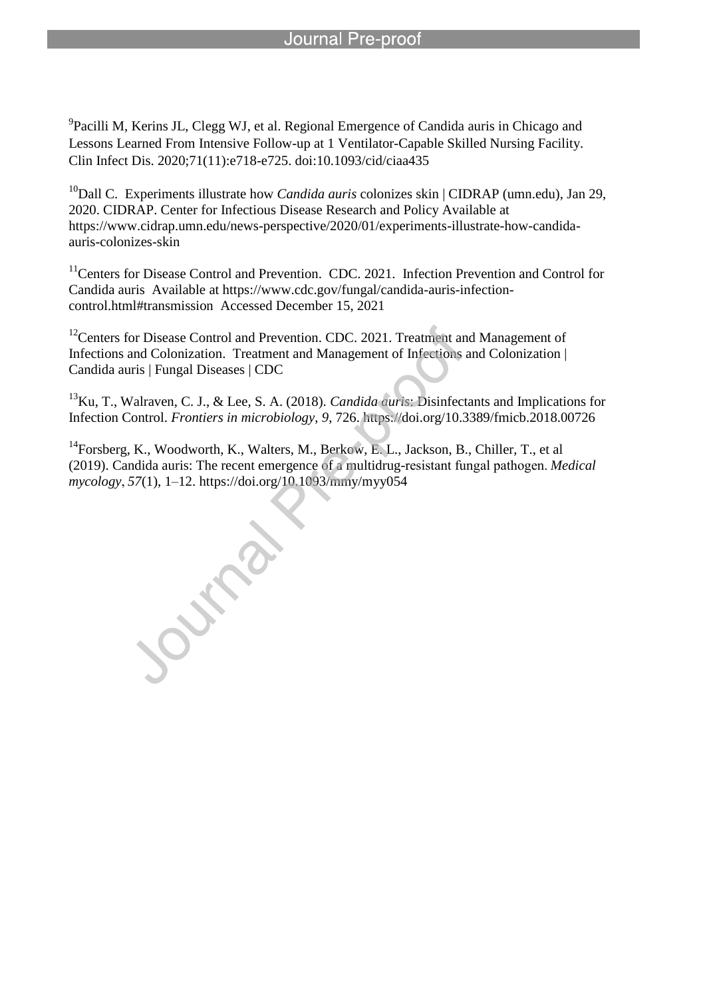<sup>9</sup> Pacilli M, Kerins JL, Clegg WJ, et al. Regional Emergence of Candida auris in Chicago and Lessons Learned From Intensive Follow-up at 1 Ventilator-Capable Skilled Nursing Facility. Clin Infect Dis. 2020;71(11):e718-e725. doi:10.1093/cid/ciaa435

l

<sup>10</sup>Dall C. Experiments illustrate how *Candida auris* colonizes skin | CIDRAP (umn.edu), Jan 29, 2020. CIDRAP. Center for Infectious Disease Research and Policy Available at https://www.cidrap.umn.edu/news-perspective/2020/01/experiments-illustrate-how-candidaauris-colonizes-skin

<sup>11</sup>Centers for Disease Control and Prevention. CDC. 2021. Infection Prevention and Control for Candida auris Available at https://www.cdc.gov/fungal/candida-auris-infectioncontrol.html#transmission Accessed December 15, 2021

<sup>12</sup>Centers for Disease Control and Prevention. CDC. 2021. Treatment and Management of Infections and Colonization. Treatment and Management of Infections and Colonization | Candida auris | Fungal Diseases | CDC

<sup>13</sup>Ku, T., Walraven, C. J., & Lee, S. A. (2018). *Candida auris*: Disinfectants and Implications for Infection Control. *Frontiers in microbiology*, *9*, 726. https://doi.org/10.3389/fmicb.2018.00726

<sup>14</sup> Forsberg, K., Woodworth, K., Walters, M., Berkow, E. L., Jackson, B., Chiller, T., et al (2019). Candida auris: The recent emergence of a multidrug-resistant fungal pathogen. *Medical mycology*, *57*(1), 1–12. https://doi.org/10.1093/mmy/myy054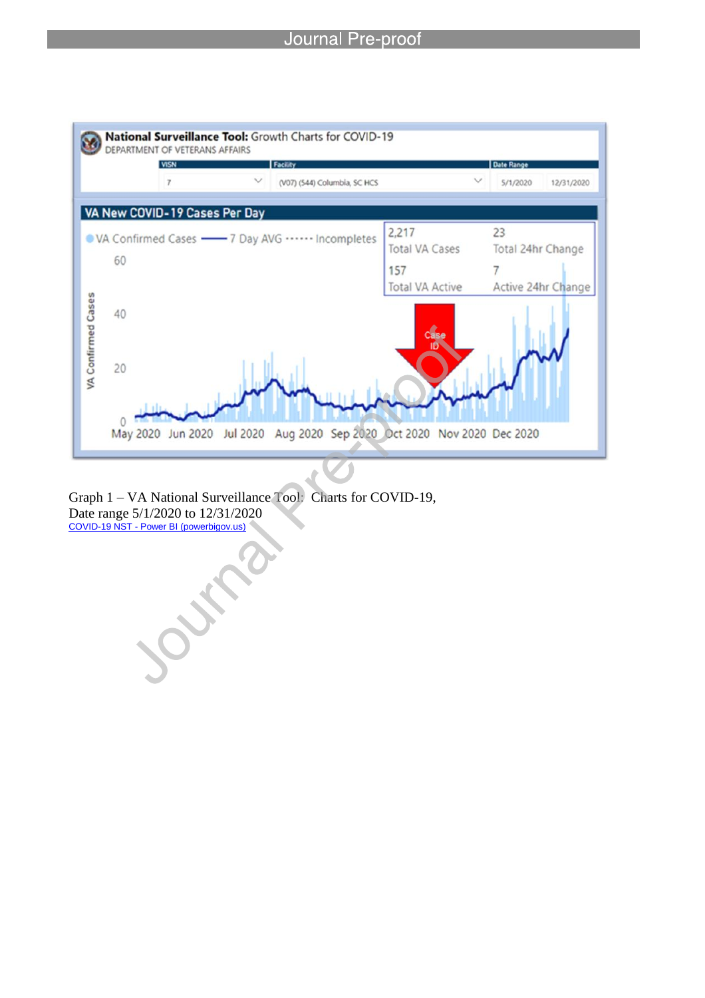

Graph 1 – VA National Surveillance Tool: Charts for COVID-19, Date range 5/1/2020 to 12/31/2020 COVID-19 NST - Power BI (powerbigov.us)

Jul

l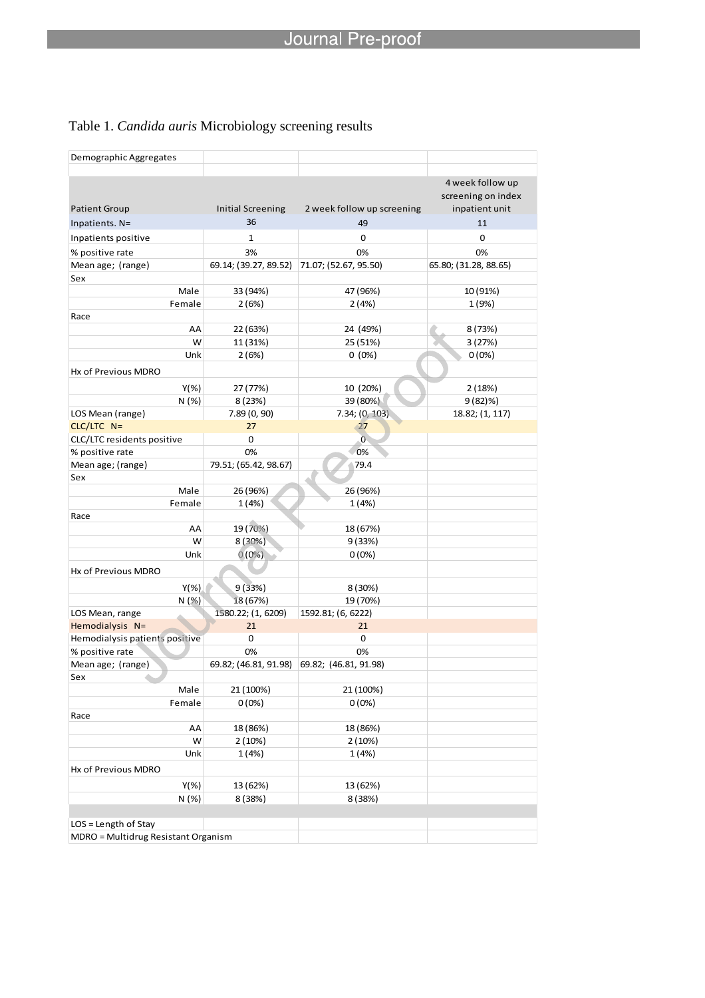## Table 1. *Candida auris* Microbiology screening results

l

| 4 week follow up<br>screening on index<br><b>Initial Screening</b><br>2 week follow up screening<br>inpatient unit<br><b>Patient Group</b><br>36<br>49<br>Inpatients. N=<br>11<br>$\mathbf 1$<br>0<br>0<br>Inpatients positive<br>3%<br>0%<br>0%<br>% positive rate<br>Mean age; (range)<br>69.14; (39.27, 89.52)<br>71.07; (52.67, 95.50)<br>65.80; (31.28, 88.65)<br>Sex<br>Male<br>33 (94%)<br>47 (96%)<br>10 (91%)<br>Female<br>2(4%)<br>1 (9%)<br>2(6%)<br>Race<br>AA<br>22 (63%)<br>24 (49%)<br>8 (73%)<br>W<br>11 (31%)<br>25 (51%)<br>3(27%)<br>Unk<br>2(6%)<br>$0(0\%)$<br>$0(0\%)$<br>Hx of Previous MDRO<br>$Y(\%)$<br>10 (20%)<br>27 (77%)<br>2(18%)<br>N (%)<br>39 (80%)<br>8(23%)<br>$9(82)\%$<br>7.89 (0, 90)<br>7.34; (0, 103)<br>18.82; (1, 117)<br>LOS Mean (range)<br>$CLC/LTC$ N=<br>27<br>27<br>CLC/LTC residents positive<br>0<br>Ō٠<br>0%<br>% positive rate<br>0%<br>Mean age; (range)<br>79.51; (65.42, 98.67)<br>79.4<br>Sex<br>Male<br>26 (96%)<br>26 (96%)<br>Female<br>1(4%)<br>1 (4%)<br>Race<br>AA<br>19 (70%)<br>18 (67%)<br>W<br>8 (30%)<br>9(33%)<br>$0(0\%)$<br>$0(0\%)$<br>Unk<br>Hx of Previous MDRO<br>$Y(\%)$<br>9(33%)<br>8 (30%)<br>N (%)<br>18 (67%)<br>19 (70%)<br>1580.22; (1, 6209)<br>1592.81; (6, 6222)<br>LOS Mean, range<br>Hemodialysis N=<br>21<br>21<br>Hemodialysis patients positive<br>0<br>0<br>0%<br>0%<br>% positive rate<br>Mean age; (range)<br>69.82; (46.81, 91.98)<br>69.82; (46.81, 91.98)<br>Sex<br>Male<br>21 (100%)<br>21 (100%)<br>0(0%)<br>0(0%)<br>Female<br>Race<br>18 (86%)<br>AA<br>18 (86%)<br>W<br>2(10%)<br>2(10%)<br>Unk<br>1(4%)<br>1(4%)<br>Hx of Previous MDRO<br>$Y(\%)$<br>13 (62%)<br>13 (62%)<br>N (%)<br>8 (38%)<br>8 (38%)<br>LOS = Length of Stay<br>MDRO = Multidrug Resistant Organism | Demographic Aggregates |  |  |
|---------------------------------------------------------------------------------------------------------------------------------------------------------------------------------------------------------------------------------------------------------------------------------------------------------------------------------------------------------------------------------------------------------------------------------------------------------------------------------------------------------------------------------------------------------------------------------------------------------------------------------------------------------------------------------------------------------------------------------------------------------------------------------------------------------------------------------------------------------------------------------------------------------------------------------------------------------------------------------------------------------------------------------------------------------------------------------------------------------------------------------------------------------------------------------------------------------------------------------------------------------------------------------------------------------------------------------------------------------------------------------------------------------------------------------------------------------------------------------------------------------------------------------------------------------------------------------------------------------------------------------------------------------------------------------------------------------------------------------------------------------------------------------|------------------------|--|--|
|                                                                                                                                                                                                                                                                                                                                                                                                                                                                                                                                                                                                                                                                                                                                                                                                                                                                                                                                                                                                                                                                                                                                                                                                                                                                                                                                                                                                                                                                                                                                                                                                                                                                                                                                                                                 |                        |  |  |
|                                                                                                                                                                                                                                                                                                                                                                                                                                                                                                                                                                                                                                                                                                                                                                                                                                                                                                                                                                                                                                                                                                                                                                                                                                                                                                                                                                                                                                                                                                                                                                                                                                                                                                                                                                                 |                        |  |  |
|                                                                                                                                                                                                                                                                                                                                                                                                                                                                                                                                                                                                                                                                                                                                                                                                                                                                                                                                                                                                                                                                                                                                                                                                                                                                                                                                                                                                                                                                                                                                                                                                                                                                                                                                                                                 |                        |  |  |
|                                                                                                                                                                                                                                                                                                                                                                                                                                                                                                                                                                                                                                                                                                                                                                                                                                                                                                                                                                                                                                                                                                                                                                                                                                                                                                                                                                                                                                                                                                                                                                                                                                                                                                                                                                                 |                        |  |  |
|                                                                                                                                                                                                                                                                                                                                                                                                                                                                                                                                                                                                                                                                                                                                                                                                                                                                                                                                                                                                                                                                                                                                                                                                                                                                                                                                                                                                                                                                                                                                                                                                                                                                                                                                                                                 |                        |  |  |
|                                                                                                                                                                                                                                                                                                                                                                                                                                                                                                                                                                                                                                                                                                                                                                                                                                                                                                                                                                                                                                                                                                                                                                                                                                                                                                                                                                                                                                                                                                                                                                                                                                                                                                                                                                                 |                        |  |  |
|                                                                                                                                                                                                                                                                                                                                                                                                                                                                                                                                                                                                                                                                                                                                                                                                                                                                                                                                                                                                                                                                                                                                                                                                                                                                                                                                                                                                                                                                                                                                                                                                                                                                                                                                                                                 |                        |  |  |
|                                                                                                                                                                                                                                                                                                                                                                                                                                                                                                                                                                                                                                                                                                                                                                                                                                                                                                                                                                                                                                                                                                                                                                                                                                                                                                                                                                                                                                                                                                                                                                                                                                                                                                                                                                                 |                        |  |  |
|                                                                                                                                                                                                                                                                                                                                                                                                                                                                                                                                                                                                                                                                                                                                                                                                                                                                                                                                                                                                                                                                                                                                                                                                                                                                                                                                                                                                                                                                                                                                                                                                                                                                                                                                                                                 |                        |  |  |
|                                                                                                                                                                                                                                                                                                                                                                                                                                                                                                                                                                                                                                                                                                                                                                                                                                                                                                                                                                                                                                                                                                                                                                                                                                                                                                                                                                                                                                                                                                                                                                                                                                                                                                                                                                                 |                        |  |  |
|                                                                                                                                                                                                                                                                                                                                                                                                                                                                                                                                                                                                                                                                                                                                                                                                                                                                                                                                                                                                                                                                                                                                                                                                                                                                                                                                                                                                                                                                                                                                                                                                                                                                                                                                                                                 |                        |  |  |
|                                                                                                                                                                                                                                                                                                                                                                                                                                                                                                                                                                                                                                                                                                                                                                                                                                                                                                                                                                                                                                                                                                                                                                                                                                                                                                                                                                                                                                                                                                                                                                                                                                                                                                                                                                                 |                        |  |  |
|                                                                                                                                                                                                                                                                                                                                                                                                                                                                                                                                                                                                                                                                                                                                                                                                                                                                                                                                                                                                                                                                                                                                                                                                                                                                                                                                                                                                                                                                                                                                                                                                                                                                                                                                                                                 |                        |  |  |
|                                                                                                                                                                                                                                                                                                                                                                                                                                                                                                                                                                                                                                                                                                                                                                                                                                                                                                                                                                                                                                                                                                                                                                                                                                                                                                                                                                                                                                                                                                                                                                                                                                                                                                                                                                                 |                        |  |  |
|                                                                                                                                                                                                                                                                                                                                                                                                                                                                                                                                                                                                                                                                                                                                                                                                                                                                                                                                                                                                                                                                                                                                                                                                                                                                                                                                                                                                                                                                                                                                                                                                                                                                                                                                                                                 |                        |  |  |
|                                                                                                                                                                                                                                                                                                                                                                                                                                                                                                                                                                                                                                                                                                                                                                                                                                                                                                                                                                                                                                                                                                                                                                                                                                                                                                                                                                                                                                                                                                                                                                                                                                                                                                                                                                                 |                        |  |  |
|                                                                                                                                                                                                                                                                                                                                                                                                                                                                                                                                                                                                                                                                                                                                                                                                                                                                                                                                                                                                                                                                                                                                                                                                                                                                                                                                                                                                                                                                                                                                                                                                                                                                                                                                                                                 |                        |  |  |
|                                                                                                                                                                                                                                                                                                                                                                                                                                                                                                                                                                                                                                                                                                                                                                                                                                                                                                                                                                                                                                                                                                                                                                                                                                                                                                                                                                                                                                                                                                                                                                                                                                                                                                                                                                                 |                        |  |  |
|                                                                                                                                                                                                                                                                                                                                                                                                                                                                                                                                                                                                                                                                                                                                                                                                                                                                                                                                                                                                                                                                                                                                                                                                                                                                                                                                                                                                                                                                                                                                                                                                                                                                                                                                                                                 |                        |  |  |
|                                                                                                                                                                                                                                                                                                                                                                                                                                                                                                                                                                                                                                                                                                                                                                                                                                                                                                                                                                                                                                                                                                                                                                                                                                                                                                                                                                                                                                                                                                                                                                                                                                                                                                                                                                                 |                        |  |  |
|                                                                                                                                                                                                                                                                                                                                                                                                                                                                                                                                                                                                                                                                                                                                                                                                                                                                                                                                                                                                                                                                                                                                                                                                                                                                                                                                                                                                                                                                                                                                                                                                                                                                                                                                                                                 |                        |  |  |
|                                                                                                                                                                                                                                                                                                                                                                                                                                                                                                                                                                                                                                                                                                                                                                                                                                                                                                                                                                                                                                                                                                                                                                                                                                                                                                                                                                                                                                                                                                                                                                                                                                                                                                                                                                                 |                        |  |  |
|                                                                                                                                                                                                                                                                                                                                                                                                                                                                                                                                                                                                                                                                                                                                                                                                                                                                                                                                                                                                                                                                                                                                                                                                                                                                                                                                                                                                                                                                                                                                                                                                                                                                                                                                                                                 |                        |  |  |
|                                                                                                                                                                                                                                                                                                                                                                                                                                                                                                                                                                                                                                                                                                                                                                                                                                                                                                                                                                                                                                                                                                                                                                                                                                                                                                                                                                                                                                                                                                                                                                                                                                                                                                                                                                                 |                        |  |  |
|                                                                                                                                                                                                                                                                                                                                                                                                                                                                                                                                                                                                                                                                                                                                                                                                                                                                                                                                                                                                                                                                                                                                                                                                                                                                                                                                                                                                                                                                                                                                                                                                                                                                                                                                                                                 |                        |  |  |
|                                                                                                                                                                                                                                                                                                                                                                                                                                                                                                                                                                                                                                                                                                                                                                                                                                                                                                                                                                                                                                                                                                                                                                                                                                                                                                                                                                                                                                                                                                                                                                                                                                                                                                                                                                                 |                        |  |  |
|                                                                                                                                                                                                                                                                                                                                                                                                                                                                                                                                                                                                                                                                                                                                                                                                                                                                                                                                                                                                                                                                                                                                                                                                                                                                                                                                                                                                                                                                                                                                                                                                                                                                                                                                                                                 |                        |  |  |
|                                                                                                                                                                                                                                                                                                                                                                                                                                                                                                                                                                                                                                                                                                                                                                                                                                                                                                                                                                                                                                                                                                                                                                                                                                                                                                                                                                                                                                                                                                                                                                                                                                                                                                                                                                                 |                        |  |  |
|                                                                                                                                                                                                                                                                                                                                                                                                                                                                                                                                                                                                                                                                                                                                                                                                                                                                                                                                                                                                                                                                                                                                                                                                                                                                                                                                                                                                                                                                                                                                                                                                                                                                                                                                                                                 |                        |  |  |
|                                                                                                                                                                                                                                                                                                                                                                                                                                                                                                                                                                                                                                                                                                                                                                                                                                                                                                                                                                                                                                                                                                                                                                                                                                                                                                                                                                                                                                                                                                                                                                                                                                                                                                                                                                                 |                        |  |  |
|                                                                                                                                                                                                                                                                                                                                                                                                                                                                                                                                                                                                                                                                                                                                                                                                                                                                                                                                                                                                                                                                                                                                                                                                                                                                                                                                                                                                                                                                                                                                                                                                                                                                                                                                                                                 |                        |  |  |
|                                                                                                                                                                                                                                                                                                                                                                                                                                                                                                                                                                                                                                                                                                                                                                                                                                                                                                                                                                                                                                                                                                                                                                                                                                                                                                                                                                                                                                                                                                                                                                                                                                                                                                                                                                                 |                        |  |  |
|                                                                                                                                                                                                                                                                                                                                                                                                                                                                                                                                                                                                                                                                                                                                                                                                                                                                                                                                                                                                                                                                                                                                                                                                                                                                                                                                                                                                                                                                                                                                                                                                                                                                                                                                                                                 |                        |  |  |
|                                                                                                                                                                                                                                                                                                                                                                                                                                                                                                                                                                                                                                                                                                                                                                                                                                                                                                                                                                                                                                                                                                                                                                                                                                                                                                                                                                                                                                                                                                                                                                                                                                                                                                                                                                                 |                        |  |  |
|                                                                                                                                                                                                                                                                                                                                                                                                                                                                                                                                                                                                                                                                                                                                                                                                                                                                                                                                                                                                                                                                                                                                                                                                                                                                                                                                                                                                                                                                                                                                                                                                                                                                                                                                                                                 |                        |  |  |
|                                                                                                                                                                                                                                                                                                                                                                                                                                                                                                                                                                                                                                                                                                                                                                                                                                                                                                                                                                                                                                                                                                                                                                                                                                                                                                                                                                                                                                                                                                                                                                                                                                                                                                                                                                                 |                        |  |  |
|                                                                                                                                                                                                                                                                                                                                                                                                                                                                                                                                                                                                                                                                                                                                                                                                                                                                                                                                                                                                                                                                                                                                                                                                                                                                                                                                                                                                                                                                                                                                                                                                                                                                                                                                                                                 |                        |  |  |
|                                                                                                                                                                                                                                                                                                                                                                                                                                                                                                                                                                                                                                                                                                                                                                                                                                                                                                                                                                                                                                                                                                                                                                                                                                                                                                                                                                                                                                                                                                                                                                                                                                                                                                                                                                                 |                        |  |  |
|                                                                                                                                                                                                                                                                                                                                                                                                                                                                                                                                                                                                                                                                                                                                                                                                                                                                                                                                                                                                                                                                                                                                                                                                                                                                                                                                                                                                                                                                                                                                                                                                                                                                                                                                                                                 |                        |  |  |
|                                                                                                                                                                                                                                                                                                                                                                                                                                                                                                                                                                                                                                                                                                                                                                                                                                                                                                                                                                                                                                                                                                                                                                                                                                                                                                                                                                                                                                                                                                                                                                                                                                                                                                                                                                                 |                        |  |  |
|                                                                                                                                                                                                                                                                                                                                                                                                                                                                                                                                                                                                                                                                                                                                                                                                                                                                                                                                                                                                                                                                                                                                                                                                                                                                                                                                                                                                                                                                                                                                                                                                                                                                                                                                                                                 |                        |  |  |
|                                                                                                                                                                                                                                                                                                                                                                                                                                                                                                                                                                                                                                                                                                                                                                                                                                                                                                                                                                                                                                                                                                                                                                                                                                                                                                                                                                                                                                                                                                                                                                                                                                                                                                                                                                                 |                        |  |  |
|                                                                                                                                                                                                                                                                                                                                                                                                                                                                                                                                                                                                                                                                                                                                                                                                                                                                                                                                                                                                                                                                                                                                                                                                                                                                                                                                                                                                                                                                                                                                                                                                                                                                                                                                                                                 |                        |  |  |
|                                                                                                                                                                                                                                                                                                                                                                                                                                                                                                                                                                                                                                                                                                                                                                                                                                                                                                                                                                                                                                                                                                                                                                                                                                                                                                                                                                                                                                                                                                                                                                                                                                                                                                                                                                                 |                        |  |  |
|                                                                                                                                                                                                                                                                                                                                                                                                                                                                                                                                                                                                                                                                                                                                                                                                                                                                                                                                                                                                                                                                                                                                                                                                                                                                                                                                                                                                                                                                                                                                                                                                                                                                                                                                                                                 |                        |  |  |
|                                                                                                                                                                                                                                                                                                                                                                                                                                                                                                                                                                                                                                                                                                                                                                                                                                                                                                                                                                                                                                                                                                                                                                                                                                                                                                                                                                                                                                                                                                                                                                                                                                                                                                                                                                                 |                        |  |  |
|                                                                                                                                                                                                                                                                                                                                                                                                                                                                                                                                                                                                                                                                                                                                                                                                                                                                                                                                                                                                                                                                                                                                                                                                                                                                                                                                                                                                                                                                                                                                                                                                                                                                                                                                                                                 |                        |  |  |
|                                                                                                                                                                                                                                                                                                                                                                                                                                                                                                                                                                                                                                                                                                                                                                                                                                                                                                                                                                                                                                                                                                                                                                                                                                                                                                                                                                                                                                                                                                                                                                                                                                                                                                                                                                                 |                        |  |  |
|                                                                                                                                                                                                                                                                                                                                                                                                                                                                                                                                                                                                                                                                                                                                                                                                                                                                                                                                                                                                                                                                                                                                                                                                                                                                                                                                                                                                                                                                                                                                                                                                                                                                                                                                                                                 |                        |  |  |
|                                                                                                                                                                                                                                                                                                                                                                                                                                                                                                                                                                                                                                                                                                                                                                                                                                                                                                                                                                                                                                                                                                                                                                                                                                                                                                                                                                                                                                                                                                                                                                                                                                                                                                                                                                                 |                        |  |  |
|                                                                                                                                                                                                                                                                                                                                                                                                                                                                                                                                                                                                                                                                                                                                                                                                                                                                                                                                                                                                                                                                                                                                                                                                                                                                                                                                                                                                                                                                                                                                                                                                                                                                                                                                                                                 |                        |  |  |